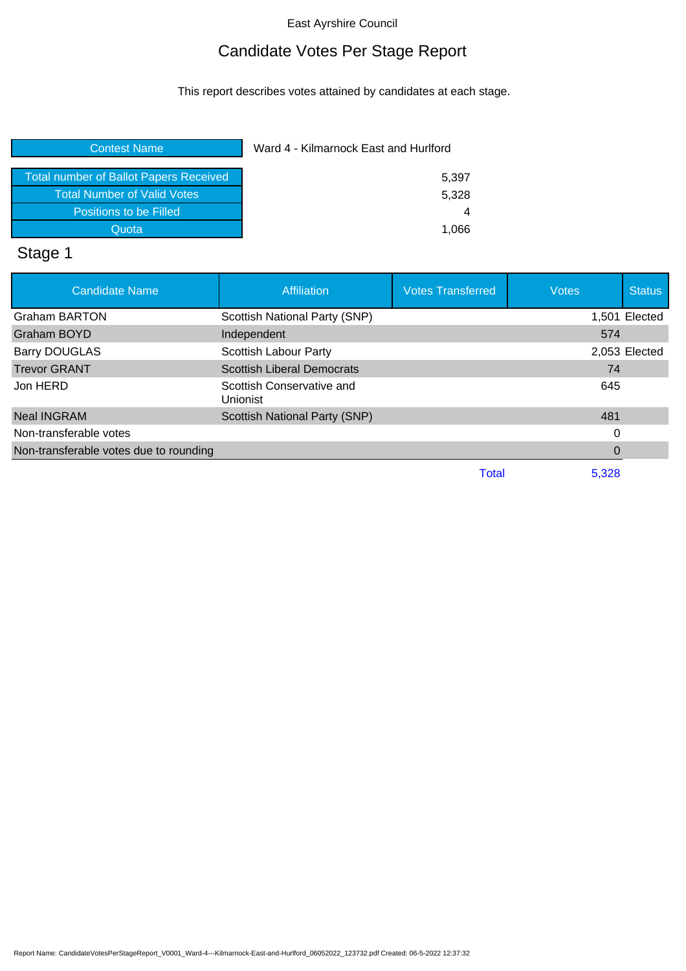# Candidate Votes Per Stage Report

This report describes votes attained by candidates at each stage.

| <b>Contest Name</b>                           | Ward 4 - Kilmarnock East and Hurlford |  |
|-----------------------------------------------|---------------------------------------|--|
|                                               |                                       |  |
| <b>Total number of Ballot Papers Received</b> | 5,397                                 |  |
| <b>Total Number of Valid Votes</b>            | 5,328                                 |  |
| Positions to be Filled                        | 4                                     |  |
| Quota                                         | 1.066                                 |  |
|                                               |                                       |  |

# Stage 1

| <b>Candidate Name</b>                  | <b>Affiliation</b>                    | <b>Votes Transferred</b> | <b>Votes</b> | <b>Status</b> |
|----------------------------------------|---------------------------------------|--------------------------|--------------|---------------|
| <b>Graham BARTON</b>                   | Scottish National Party (SNP)         |                          |              | 1,501 Elected |
| Graham BOYD                            | Independent                           |                          | 574          |               |
| <b>Barry DOUGLAS</b>                   | Scottish Labour Party                 |                          |              | 2,053 Elected |
| <b>Trevor GRANT</b>                    | <b>Scottish Liberal Democrats</b>     |                          | 74           |               |
| Jon HERD                               | Scottish Conservative and<br>Unionist |                          | 645          |               |
| <b>Neal INGRAM</b>                     | Scottish National Party (SNP)         |                          | 481          |               |
| Non-transferable votes                 |                                       |                          | 0            |               |
| Non-transferable votes due to rounding |                                       |                          | 0            |               |
|                                        |                                       | Total                    | 5,328        |               |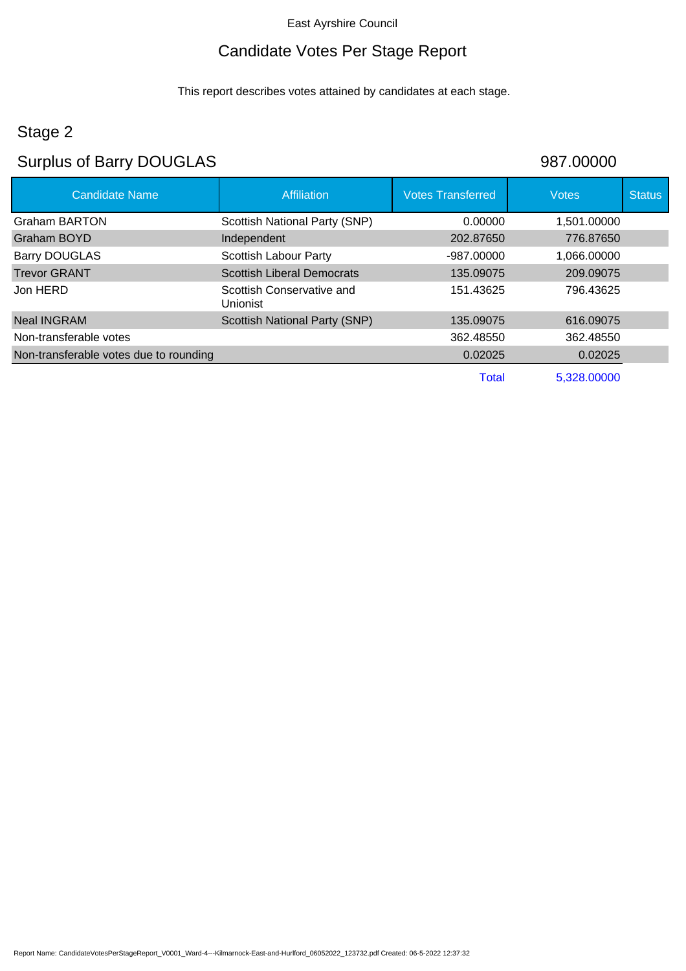#### Candidate Votes Per Stage Report

This report describes votes attained by candidates at each stage.

### Stage 2

### Surplus of Barry DOUGLAS 987.00000

Candidate Name **Affiliation** Affiliation **Votes Transferred** Votes Votes Status Graham BARTON Scottish National Party (SNP) 0.00000 1,501.00000 Graham BOYD **Independent** 202.87650 776.87650 Barry DOUGLAS Scottish Labour Party -987.00000 1,066.00000 Trevor GRANT Scottish Liberal Democrats 135.09075 209.09075 Jon HERD Scottish Conservative and Unionist 151.43625 796.43625 Neal INGRAM Scottish National Party (SNP) 135.09075 616.09075 Non-transferable votes 362.48550 362.48550 Non-transferable votes due to rounding 0.02025 0.02025 0.02025 Total 5,328.00000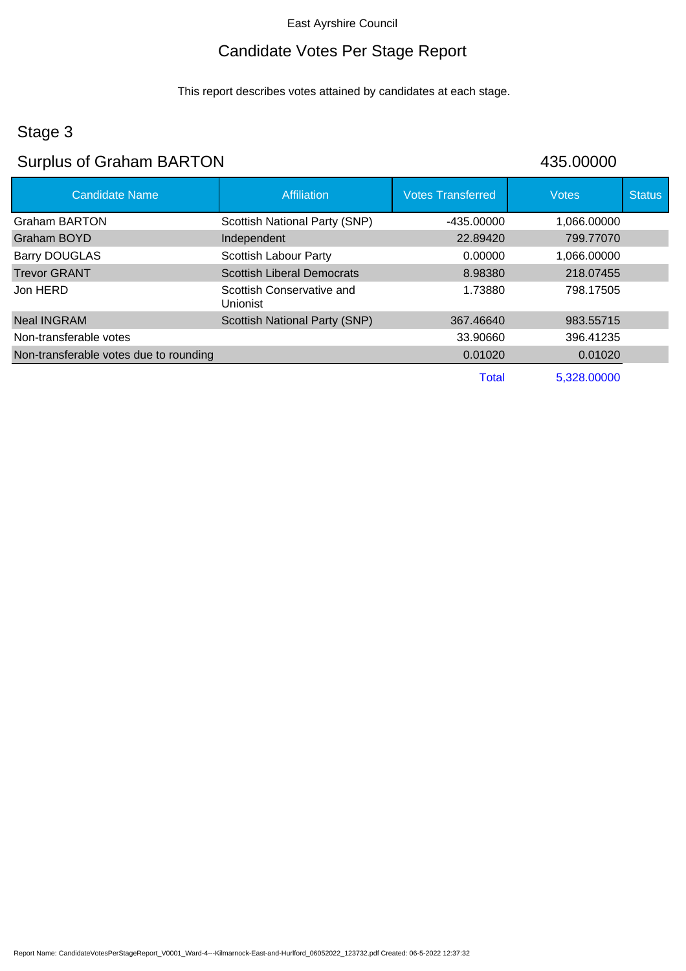# Candidate Votes Per Stage Report

This report describes votes attained by candidates at each stage.

# Stage 3

# Surplus of Graham BARTON 435.00000

| <b>Candidate Name</b>                  | <b>Affiliation</b>                           | <b>Votes Transferred</b> | <b>Votes</b> | <b>Status</b> |
|----------------------------------------|----------------------------------------------|--------------------------|--------------|---------------|
| Graham BARTON                          | Scottish National Party (SNP)                | -435.00000               | 1,066.00000  |               |
| Graham BOYD                            | Independent                                  | 22,89420                 | 799.77070    |               |
| <b>Barry DOUGLAS</b>                   | <b>Scottish Labour Party</b>                 | 0.00000                  | 1,066.00000  |               |
| <b>Trevor GRANT</b>                    | <b>Scottish Liberal Democrats</b>            | 8.98380                  | 218.07455    |               |
| Jon HERD                               | Scottish Conservative and<br><b>Unionist</b> | 1.73880                  | 798.17505    |               |
| <b>Neal INGRAM</b>                     | Scottish National Party (SNP)                | 367.46640                | 983.55715    |               |
| Non-transferable votes                 |                                              | 33.90660                 | 396.41235    |               |
| Non-transferable votes due to rounding |                                              | 0.01020                  | 0.01020      |               |
|                                        |                                              | <b>Total</b>             | 5,328.00000  |               |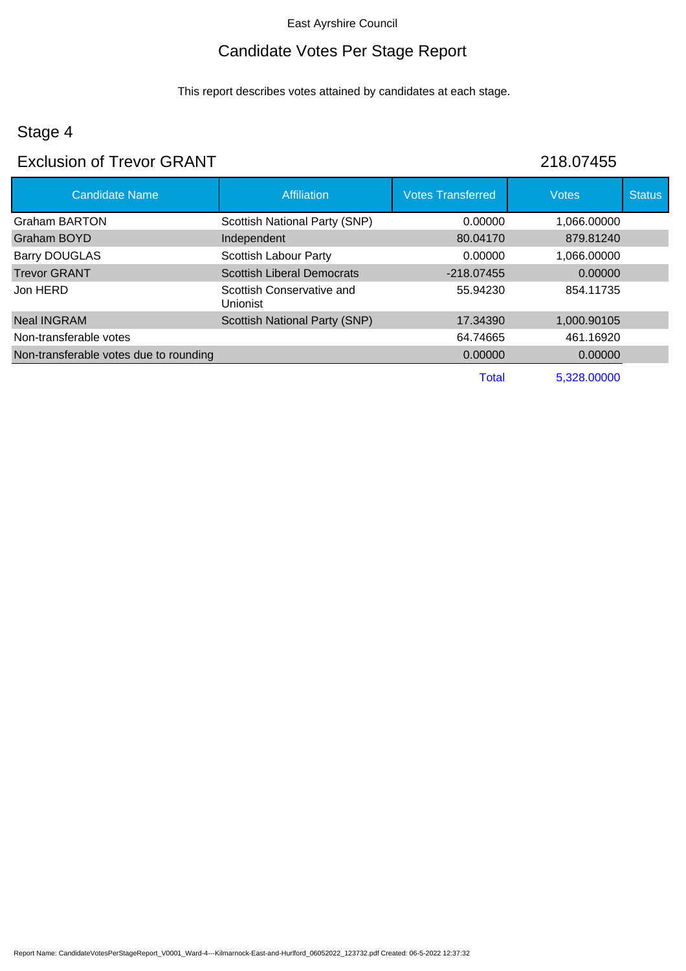# Candidate Votes Per Stage Report

This report describes votes attained by candidates at each stage.

# Stage 4

## Exclusion of Trevor GRANT 218.07455

| <b>Candidate Name</b>                  | <b>Affiliation</b>                    | <b>Votes Transferred</b> | <b>Votes</b> | <b>Status</b> |
|----------------------------------------|---------------------------------------|--------------------------|--------------|---------------|
| <b>Graham BARTON</b>                   | Scottish National Party (SNP)         | 0.00000                  | 1.066.00000  |               |
| Graham BOYD                            | Independent                           | 80.04170                 | 879.81240    |               |
| <b>Barry DOUGLAS</b>                   | <b>Scottish Labour Party</b>          | 0.00000                  | 1.066.00000  |               |
| <b>Trevor GRANT</b>                    | <b>Scottish Liberal Democrats</b>     | $-218.07455$             | 0.00000      |               |
| Jon HERD                               | Scottish Conservative and<br>Unionist | 55.94230                 | 854.11735    |               |
| <b>Neal INGRAM</b>                     | Scottish National Party (SNP)         | 17.34390                 | 1,000.90105  |               |
| Non-transferable votes                 |                                       | 64.74665                 | 461.16920    |               |
| Non-transferable votes due to rounding |                                       | 0.00000                  | 0.00000      |               |
|                                        |                                       | Total                    | 5,328.00000  |               |